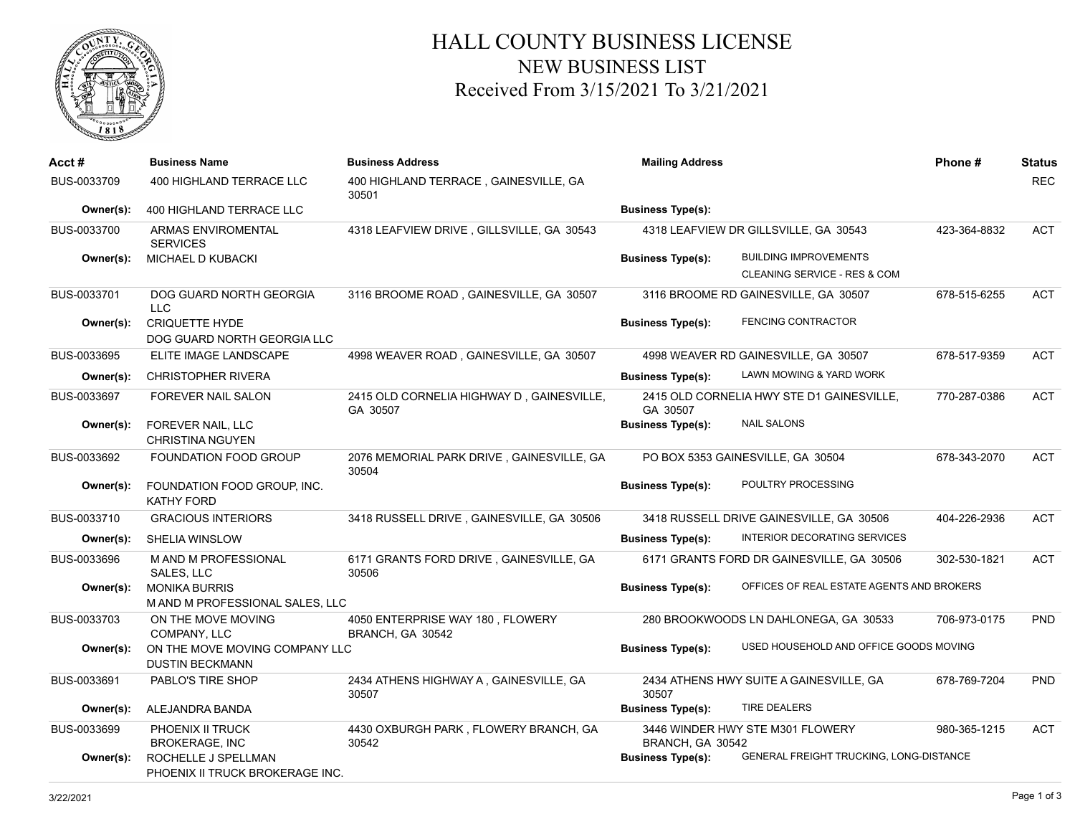

## HALL COUNTY BUSINESS LICENSE NEW BUSINESS LIST Received From 3/15/2021 To 3/21/2021

| Acct #      | <b>Business Name</b>                                     | <b>Business Address</b>                               | <b>Mailing Address</b>   |                                           | Phone#       | <b>Status</b> |
|-------------|----------------------------------------------------------|-------------------------------------------------------|--------------------------|-------------------------------------------|--------------|---------------|
| BUS-0033709 | 400 HIGHLAND TERRACE LLC                                 | 400 HIGHLAND TERRACE, GAINESVILLE, GA<br>30501        |                          |                                           |              | <b>REC</b>    |
| Owner(s):   | 400 HIGHLAND TERRACE LLC                                 |                                                       | <b>Business Type(s):</b> |                                           |              |               |
| BUS-0033700 | <b>ARMAS ENVIROMENTAL</b><br><b>SERVICES</b>             | 4318 LEAFVIEW DRIVE, GILLSVILLE, GA 30543             |                          | 4318 LEAFVIEW DR GILLSVILLE, GA 30543     | 423-364-8832 | <b>ACT</b>    |
| Owner(s):   | MICHAEL D KUBACKI                                        |                                                       | <b>Business Type(s):</b> | <b>BUILDING IMPROVEMENTS</b>              |              |               |
|             |                                                          |                                                       |                          | CLEANING SERVICE - RES & COM              |              |               |
| BUS-0033701 | DOG GUARD NORTH GEORGIA<br>LLC                           | 3116 BROOME ROAD, GAINESVILLE, GA 30507               |                          | 3116 BROOME RD GAINESVILLE, GA 30507      | 678-515-6255 | <b>ACT</b>    |
| Owner(s):   | <b>CRIQUETTE HYDE</b><br>DOG GUARD NORTH GEORGIA LLC     |                                                       | <b>Business Type(s):</b> | FENCING CONTRACTOR                        |              |               |
| BUS-0033695 | ELITE IMAGE LANDSCAPE                                    | 4998 WEAVER ROAD, GAINESVILLE, GA 30507               |                          | 4998 WEAVER RD GAINESVILLE, GA 30507      | 678-517-9359 | <b>ACT</b>    |
| Owner(s):   | <b>CHRISTOPHER RIVERA</b>                                |                                                       | <b>Business Type(s):</b> | LAWN MOWING & YARD WORK                   |              |               |
| BUS-0033697 | FOREVER NAIL SALON                                       | 2415 OLD CORNELIA HIGHWAY D, GAINESVILLE,<br>GA 30507 | GA 30507                 | 2415 OLD CORNELIA HWY STE D1 GAINESVILLE, | 770-287-0386 | <b>ACT</b>    |
| Owner(s):   | FOREVER NAIL, LLC<br><b>CHRISTINA NGUYEN</b>             |                                                       | <b>Business Type(s):</b> | <b>NAIL SALONS</b>                        |              |               |
| BUS-0033692 | <b>FOUNDATION FOOD GROUP</b>                             | 2076 MEMORIAL PARK DRIVE, GAINESVILLE, GA<br>30504    |                          | PO BOX 5353 GAINESVILLE, GA 30504         | 678-343-2070 | <b>ACT</b>    |
| Owner(s):   | FOUNDATION FOOD GROUP, INC.<br><b>KATHY FORD</b>         |                                                       | <b>Business Type(s):</b> | POULTRY PROCESSING                        |              |               |
| BUS-0033710 | <b>GRACIOUS INTERIORS</b>                                | 3418 RUSSELL DRIVE, GAINESVILLE, GA 30506             |                          | 3418 RUSSELL DRIVE GAINESVILLE, GA 30506  | 404-226-2936 | <b>ACT</b>    |
| Owner(s):   | SHELIA WINSLOW                                           |                                                       | <b>Business Type(s):</b> | INTERIOR DECORATING SERVICES              |              |               |
| BUS-0033696 | <b>MAND M PROFESSIONAL</b><br>SALES, LLC                 | 6171 GRANTS FORD DRIVE, GAINESVILLE, GA<br>30506      |                          | 6171 GRANTS FORD DR GAINESVILLE, GA 30506 | 302-530-1821 | <b>ACT</b>    |
| Owner(s):   | <b>MONIKA BURRIS</b><br>M AND M PROFESSIONAL SALES, LLC  |                                                       | <b>Business Type(s):</b> | OFFICES OF REAL ESTATE AGENTS AND BROKERS |              |               |
| BUS-0033703 | ON THE MOVE MOVING<br>COMPANY, LLC                       | 4050 ENTERPRISE WAY 180, FLOWERY<br>BRANCH, GA 30542  |                          | 280 BROOKWOODS LN DAHLONEGA, GA 30533     | 706-973-0175 | PND           |
| Owner(s):   | ON THE MOVE MOVING COMPANY LLC<br><b>DUSTIN BECKMANN</b> |                                                       | <b>Business Type(s):</b> | USED HOUSEHOLD AND OFFICE GOODS MOVING    |              |               |
| BUS-0033691 | PABLO'S TIRE SHOP                                        | 2434 ATHENS HIGHWAY A, GAINESVILLE, GA<br>30507       | 30507                    | 2434 ATHENS HWY SUITE A GAINESVILLE, GA   | 678-769-7204 | <b>PND</b>    |
| Owner(s):   | ALEJANDRA BANDA                                          |                                                       | <b>Business Type(s):</b> | <b>TIRE DEALERS</b>                       |              |               |
| BUS-0033699 | PHOENIX II TRUCK<br><b>BROKERAGE, INC</b>                | 4430 OXBURGH PARK, FLOWERY BRANCH, GA<br>30542        | BRANCH, GA 30542         | 3446 WINDER HWY STE M301 FLOWERY          | 980-365-1215 | <b>ACT</b>    |
| Owner(s):   | ROCHELLE J SPELLMAN<br>PHOENIX II TRUCK BROKERAGE INC.   |                                                       | <b>Business Type(s):</b> | GENERAL FREIGHT TRUCKING, LONG-DISTANCE   |              |               |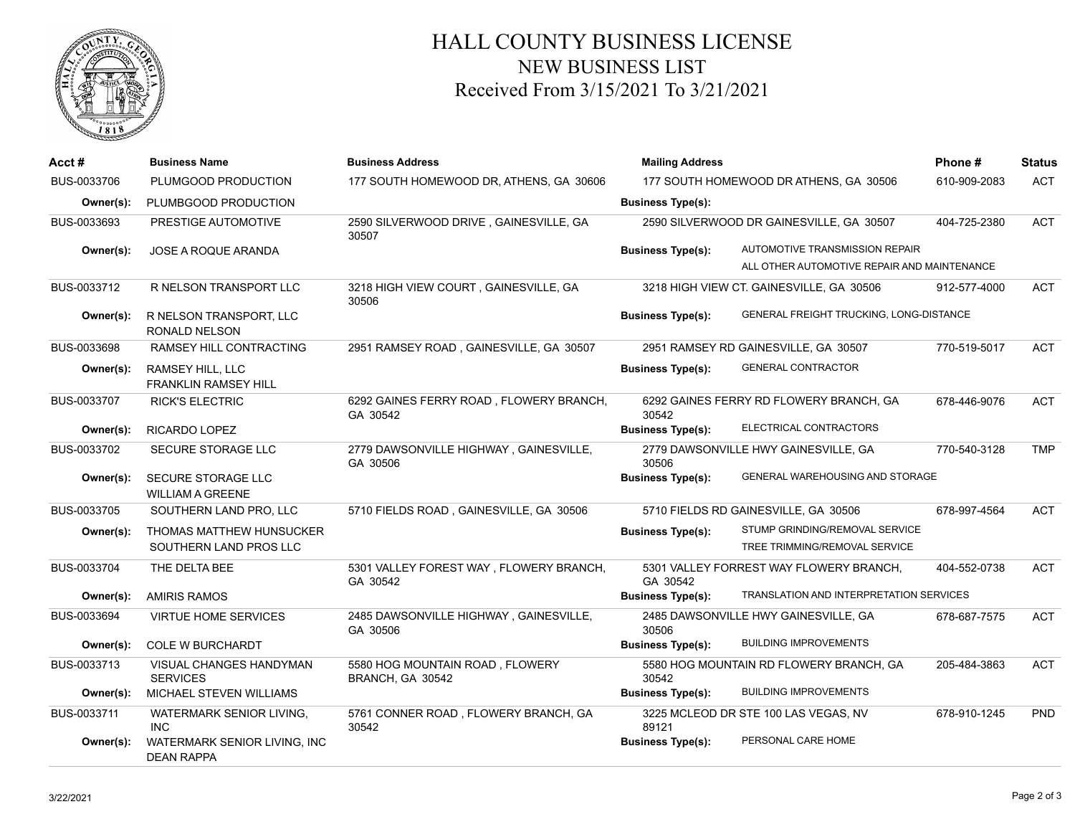

## HALL COUNTY BUSINESS LICENSE NEW BUSINESS LIST Received From 3/15/2021 To 3/21/2021

| Acct#       | <b>Business Name</b>                               | <b>Business Address</b>                             | <b>Mailing Address</b>   |                                                                               | Phone#       | <b>Status</b> |
|-------------|----------------------------------------------------|-----------------------------------------------------|--------------------------|-------------------------------------------------------------------------------|--------------|---------------|
| BUS-0033706 | PLUMGOOD PRODUCTION                                | 177 SOUTH HOMEWOOD DR, ATHENS, GA 30606             |                          | 177 SOUTH HOMEWOOD DR ATHENS, GA 30506                                        | 610-909-2083 | <b>ACT</b>    |
| Owner(s):   | PLUMBGOOD PRODUCTION                               |                                                     | <b>Business Type(s):</b> |                                                                               |              |               |
| BUS-0033693 | PRESTIGE AUTOMOTIVE                                | 2590 SILVERWOOD DRIVE, GAINESVILLE, GA<br>30507     |                          | 2590 SILVERWOOD DR GAINESVILLE, GA 30507                                      | 404-725-2380 | <b>ACT</b>    |
| Owner(s):   | JOSE A ROQUE ARANDA                                |                                                     | <b>Business Type(s):</b> | AUTOMOTIVE TRANSMISSION REPAIR<br>ALL OTHER AUTOMOTIVE REPAIR AND MAINTENANCE |              |               |
| BUS-0033712 | R NELSON TRANSPORT LLC                             | 3218 HIGH VIEW COURT, GAINESVILLE, GA<br>30506      |                          | 3218 HIGH VIEW CT. GAINESVILLE, GA 30506                                      | 912-577-4000 | <b>ACT</b>    |
| Owner(s):   | R NELSON TRANSPORT, LLC<br><b>RONALD NELSON</b>    |                                                     | <b>Business Type(s):</b> | GENERAL FREIGHT TRUCKING, LONG-DISTANCE                                       |              |               |
| BUS-0033698 | RAMSEY HILL CONTRACTING                            | 2951 RAMSEY ROAD, GAINESVILLE, GA 30507             |                          | 2951 RAMSEY RD GAINESVILLE, GA 30507                                          | 770-519-5017 | <b>ACT</b>    |
| Owner(s):   | RAMSEY HILL, LLC<br><b>FRANKLIN RAMSEY HILL</b>    |                                                     | <b>Business Type(s):</b> | <b>GENERAL CONTRACTOR</b>                                                     |              |               |
| BUS-0033707 | <b>RICK'S ELECTRIC</b>                             | 6292 GAINES FERRY ROAD, FLOWERY BRANCH,<br>GA 30542 | 30542                    | 6292 GAINES FERRY RD FLOWERY BRANCH, GA                                       | 678-446-9076 | <b>ACT</b>    |
| Owner(s):   | RICARDO LOPEZ                                      |                                                     | <b>Business Type(s):</b> | ELECTRICAL CONTRACTORS                                                        |              |               |
| BUS-0033702 | SECURE STORAGE LLC                                 | 2779 DAWSONVILLE HIGHWAY, GAINESVILLE,<br>GA 30506  | 30506                    | 2779 DAWSONVILLE HWY GAINESVILLE, GA                                          | 770-540-3128 | <b>TMP</b>    |
| Owner(s):   | SECURE STORAGE LLC<br><b>WILLIAM A GREENE</b>      |                                                     | <b>Business Type(s):</b> | GENERAL WAREHOUSING AND STORAGE                                               |              |               |
| BUS-0033705 | SOUTHERN LAND PRO, LLC                             | 5710 FIELDS ROAD, GAINESVILLE, GA 30506             |                          | 5710 FIELDS RD GAINESVILLE, GA 30506                                          | 678-997-4564 | <b>ACT</b>    |
| Owner(s):   | THOMAS MATTHEW HUNSUCKER<br>SOUTHERN LAND PROS LLC |                                                     | <b>Business Type(s):</b> | STUMP GRINDING/REMOVAL SERVICE<br>TREE TRIMMING/REMOVAL SERVICE               |              |               |
| BUS-0033704 | THE DELTA BEE                                      | 5301 VALLEY FOREST WAY, FLOWERY BRANCH,<br>GA 30542 | GA 30542                 | 5301 VALLEY FORREST WAY FLOWERY BRANCH,                                       | 404-552-0738 | <b>ACT</b>    |
| Owner(s):   | <b>AMIRIS RAMOS</b>                                |                                                     | <b>Business Type(s):</b> | TRANSLATION AND INTERPRETATION SERVICES                                       |              |               |
| BUS-0033694 | <b>VIRTUE HOME SERVICES</b>                        | 2485 DAWSONVILLE HIGHWAY, GAINESVILLE,<br>GA 30506  | 30506                    | 2485 DAWSONVILLE HWY GAINESVILLE, GA                                          | 678-687-7575 | <b>ACT</b>    |
| Owner(s):   | <b>COLE W BURCHARDT</b>                            |                                                     | <b>Business Type(s):</b> | <b>BUILDING IMPROVEMENTS</b>                                                  |              |               |
| BUS-0033713 | VISUAL CHANGES HANDYMAN<br><b>SERVICES</b>         | 5580 HOG MOUNTAIN ROAD, FLOWERY<br>BRANCH, GA 30542 | 30542                    | 5580 HOG MOUNTAIN RD FLOWERY BRANCH, GA                                       | 205-484-3863 | <b>ACT</b>    |
| Owner(s):   | MICHAEL STEVEN WILLIAMS                            |                                                     | <b>Business Type(s):</b> | <b>BUILDING IMPROVEMENTS</b>                                                  |              |               |
| BUS-0033711 | WATERMARK SENIOR LIVING.<br><b>INC</b>             | 5761 CONNER ROAD, FLOWERY BRANCH, GA<br>30542       | 89121                    | 3225 MCLEOD DR STE 100 LAS VEGAS, NV                                          | 678-910-1245 | PND           |
| Owner(s):   | WATERMARK SENIOR LIVING, INC<br><b>DEAN RAPPA</b>  |                                                     | <b>Business Type(s):</b> | PERSONAL CARE HOME                                                            |              |               |